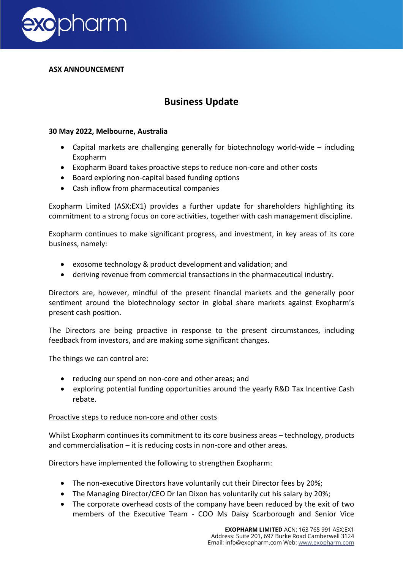

## **ASX ANNOUNCEMENT**

# **Business Update**

## **30 May 2022, Melbourne, Australia**

- Capital markets are challenging generally for biotechnology world-wide including Exopharm
- Exopharm Board takes proactive steps to reduce non-core and other costs
- Board exploring non-capital based funding options
- Cash inflow from pharmaceutical companies

Exopharm Limited (ASX:EX1) provides a further update for shareholders highlighting its commitment to a strong focus on core activities, together with cash management discipline.

Exopharm continues to make significant progress, and investment, in key areas of its core business, namely:

- exosome technology & product development and validation; and
- deriving revenue from commercial transactions in the pharmaceutical industry.

Directors are, however, mindful of the present financial markets and the generally poor sentiment around the biotechnology sector in global share markets against Exopharm's present cash position.

The Directors are being proactive in response to the present circumstances, including feedback from investors, and are making some significant changes.

The things we can control are:

- reducing our spend on non-core and other areas; and
- exploring potential funding opportunities around the yearly R&D Tax Incentive Cash rebate.

## Proactive steps to reduce non-core and other costs

Whilst Exopharm continues its commitment to its core business areas – technology, products and commercialisation – it is reducing costs in non-core and other areas.

Directors have implemented the following to strengthen Exopharm:

- The non-executive Directors have voluntarily cut their Director fees by 20%;
- The Managing Director/CEO Dr Ian Dixon has voluntarily cut his salary by 20%;
- The corporate overhead costs of the company have been reduced by the exit of two members of the Executive Team - COO Ms Daisy Scarborough and Senior Vice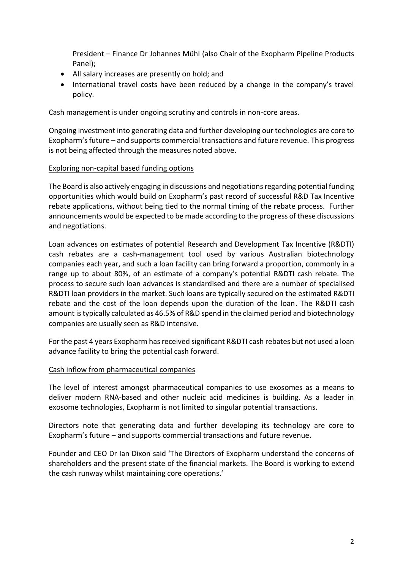President – Finance Dr Johannes Mühl (also Chair of the Exopharm Pipeline Products Panel);

- All salary increases are presently on hold; and
- International travel costs have been reduced by a change in the company's travel policy.

Cash management is under ongoing scrutiny and controls in non-core areas.

Ongoing investment into generating data and further developing our technologies are core to Exopharm's future – and supports commercial transactions and future revenue. This progress is not being affected through the measures noted above.

## Exploring non-capital based funding options

The Board is also actively engaging in discussions and negotiations regarding potential funding opportunities which would build on Exopharm's past record of successful R&D Tax Incentive rebate applications, without being tied to the normal timing of the rebate process. Further announcements would be expected to be made according to the progress of these discussions and negotiations.

Loan advances on estimates of potential Research and Development Tax Incentive (R&DTI) cash rebates are a cash-management tool used by various Australian biotechnology companies each year, and such a loan facility can bring forward a proportion, commonly in a range up to about 80%, of an estimate of a company's potential R&DTI cash rebate. The process to secure such loan advances is standardised and there are a number of specialised R&DTI loan providers in the market. Such loans are typically secured on the estimated R&DTI rebate and the cost of the loan depends upon the duration of the loan. The R&DTI cash amount is typically calculated as 46.5% of R&D spend in the claimed period and biotechnology companies are usually seen as R&D intensive.

For the past 4 years Exopharm has received significant R&DTI cash rebates but not used a loan advance facility to bring the potential cash forward.

## Cash inflow from pharmaceutical companies

The level of interest amongst pharmaceutical companies to use exosomes as a means to deliver modern RNA-based and other nucleic acid medicines is building. As a leader in exosome technologies, Exopharm is not limited to singular potential transactions.

Directors note that generating data and further developing its technology are core to Exopharm's future – and supports commercial transactions and future revenue.

Founder and CEO Dr Ian Dixon said 'The Directors of Exopharm understand the concerns of shareholders and the present state of the financial markets. The Board is working to extend the cash runway whilst maintaining core operations.'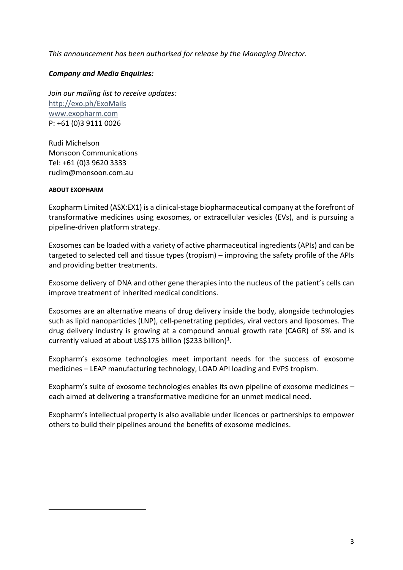*This announcement has been authorised for release by the Managing Director.* 

# *Company and Media Enquiries:*

*Join our mailing list to receive updates:* <http://exo.ph/ExoMails> [www.exopharm.com](http://www.exopharm.com/) P: +61 (0)3 9111 0026

Rudi Michelson Monsoon Communications Tel: +61 (0)3 9620 3333 rudim@monsoon.com.au

#### **ABOUT EXOPHARM**

Exopharm Limited (ASX:EX1) is a clinical-stage biopharmaceutical company at the forefront of transformative medicines using exosomes, or extracellular vesicles (EVs), and is pursuing a pipeline-driven platform strategy.

Exosomes can be loaded with a variety of active pharmaceutical ingredients (APIs) and can be targeted to selected cell and tissue types (tropism) – improving the safety profile of the APIs and providing better treatments.

Exosome delivery of DNA and other gene therapies into the nucleus of the patient's cells can improve treatment of inherited medical conditions.

Exosomes are an alternative means of drug delivery inside the body, alongside technologies such as lipid nanoparticles (LNP), cell-penetrating peptides, viral vectors and liposomes. The drug delivery industry is growing at a compound annual growth rate (CAGR) of 5% and is currently valued at about US\$175 billion (\$233 billion)<sup>1</sup>.

Exopharm's exosome technologies meet important needs for the success of exosome medicines – LEAP manufacturing technology, LOAD API loading and EVPS tropism.

Exopharm's suite of exosome technologies enables its own pipeline of exosome medicines – each aimed at delivering a transformative medicine for an unmet medical need.

Exopharm's intellectual property is also available under licences or partnerships to empower others to build their pipelines around the benefits of exosome medicines.